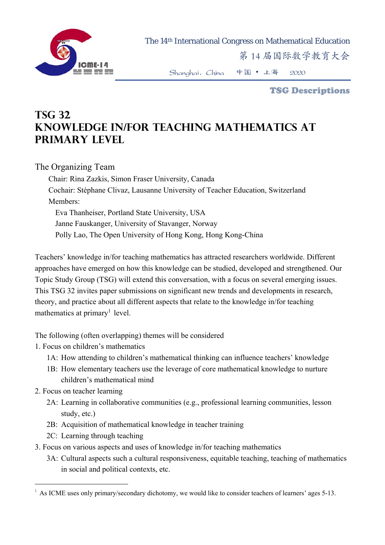

The 14th International Congress on Mathematical Education

第 14 届国际数学教育大会

Shanghai,China 中国 • 上海 2020

TSG Descriptions

## **TSG 32 Knowledge in/for teaching mathematics at primary level**

The Organizing Team

Chair: Rina Zazkis, Simon Fraser University, Canada Cochair: Stéphane Clivaz, Lausanne University of Teacher Education, Switzerland Members: Eva Thanheiser, Portland State University, USA Janne Fauskanger, University of Stavanger, Norway Polly Lao, The Open University of Hong Kong, Hong Kong-China

Teachers' knowledge in/for teaching mathematics has attracted researchers worldwide. Different approaches have emerged on how this knowledge can be studied, developed and strengthened. Our Topic Study Group (TSG) will extend this conversation, with a focus on several emerging issues. This TSG 32 invites paper submissions on significant new trends and developments in research, theory, and practice about all different aspects that relate to the knowledge in/for teaching mathematics at primary<sup>1</sup> level.

The following (often overlapping) themes will be considered

1. Focus on children's mathematics

- 1A: How attending to children's mathematical thinking can influence teachers' knowledge
- 1B: How elementary teachers use the leverage of core mathematical knowledge to nurture children's mathematical mind

2. Focus on teacher learning

1

- 2A: Learning in collaborative communities (e.g., professional learning communities, lesson study, etc.)
- 2B: Acquisition of mathematical knowledge in teacher training
- 2C: Learning through teaching
- 3. Focus on various aspects and uses of knowledge in/for teaching mathematics
	- 3A: Cultural aspects such a cultural responsiveness, equitable teaching, teaching of mathematics in social and political contexts, etc.

 $1$  As ICME uses only primary/secondary dichotomy, we would like to consider teachers of learners' ages 5-13.